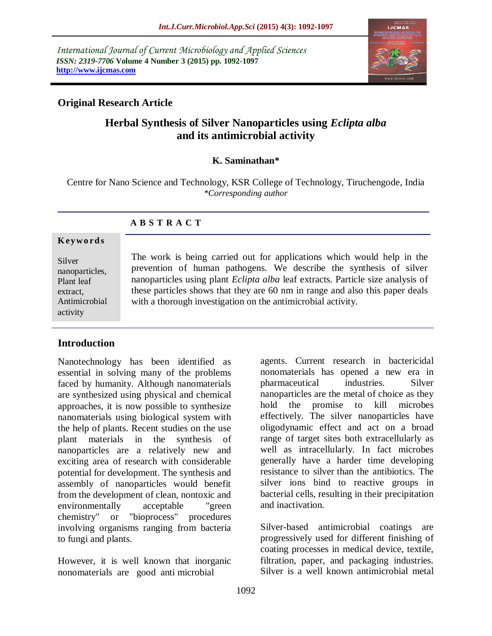*International Journal of Current Microbiology and Applied Sciences ISSN: 2319-7706* **Volume 4 Number 3 (2015) pp. 1092-1097 http://www.ijcmas.com** 



# **Original Research Article**

# **Herbal Synthesis of Silver Nanoparticles using** *Eclipta alba* **and its antimicrobial activity**

### **K. Saminathan\***

Centre for Nano Science and Technology, KSR College of Technology, Tiruchengode, India *\*Corresponding author*

### **A B S T R A C T**

#### **K ey w o rd s**

Silver nanoparticles, Plant leaf extract, Antimicrobial activity

The work is being carried out for applications which would help in the prevention of human pathogens. We describe the synthesis of silver nanoparticles using plant *Eclipta alba* leaf extracts. Particle size analysis of these particles shows that they are 60 nm in range and also this paper deals with a thorough investigation on the antimicrobial activity.

# **Introduction**

Nanotechnology has been identified as essential in solving many of the problems faced by humanity. Although nanomaterials are synthesized using physical and chemical approaches, it is now possible to synthesize nanomaterials using biological system with the help of plants. Recent studies on the use plant materials in the synthesis of nanoparticles are a relatively new and exciting area of research with considerable potential for development. The synthesis and assembly of nanoparticles would benefit from the development of clean, nontoxic and environmentally acceptable "green chemistry" or "bioprocess" procedures involving organisms ranging from bacteria to fungi and plants.

However, it is well known that inorganic nonomaterials are good anti microbial

agents. Current research in bactericidal nonomaterials has opened a new era in pharmaceutical industries. Silver nanoparticles are the metal of choice as they hold the promise to kill microbes effectively. The silver nanoparticles have oligodynamic effect and act on a broad range of target sites both extracellularly as well as intracellularly. In fact microbes generally have a harder time developing resistance to silver than the antibiotics. The silver ions bind to reactive groups in bacterial cells, resulting in their precipitation and inactivation.

Silver-based antimicrobial coatings are progressively used for different finishing of coating processes in medical device, textile, filtration, paper, and packaging industries. Silver is a well known antimicrobial metal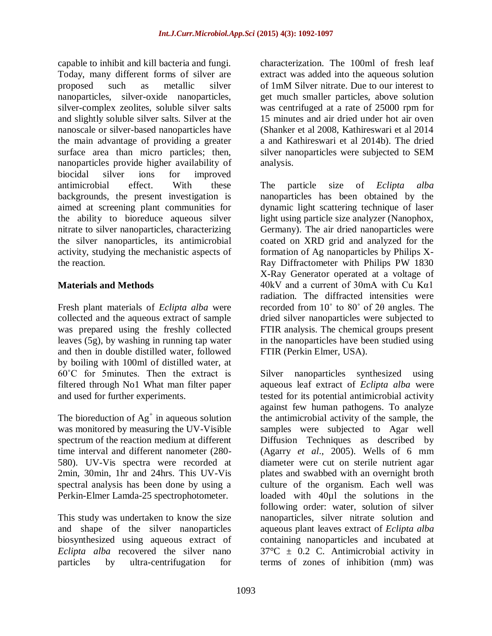capable to inhibit and kill bacteria and fungi. Today, many different forms of silver are proposed such as metallic silver nanoparticles, silver-oxide nanoparticles, silver-complex zeolites, soluble silver salts and slightly soluble silver salts. Silver at the nanoscale or silver-based nanoparticles have the main advantage of providing a greater surface area than micro particles; then, nanoparticles provide higher availability of biocidal silver ions for improved antimicrobial effect. With these backgrounds, the present investigation is aimed at screening plant communities for the ability to bioreduce aqueous silver nitrate to silver nanoparticles, characterizing the silver nanoparticles, its antimicrobial activity, studying the mechanistic aspects of the reaction.

### **Materials and Methods**

Fresh plant materials of *Eclipta alba* were collected and the aqueous extract of sample was prepared using the freshly collected leaves (5g), by washing in running tap water and then in double distilled water, followed by boiling with 100ml of distilled water, at 60˚C for 5minutes. Then the extract is filtered through No1 What man filter paper and used for further experiments.

The bioreduction of  $Ag<sup>+</sup>$  in aqueous solution was monitored by measuring the UV-Visible spectrum of the reaction medium at different time interval and different nanometer (280- 580). UV-Vis spectra were recorded at 2min, 30min, 1hr and 24hrs. This UV-Vis spectral analysis has been done by using a Perkin-Elmer Lamda-25 spectrophotometer.

This study was undertaken to know the size and shape of the silver nanoparticles biosynthesized using aqueous extract of *Eclipta alba* recovered the silver nano particles by ultra-centrifugation for

characterization. The 100ml of fresh leaf extract was added into the aqueous solution of 1mM Silver nitrate. Due to our interest to get much smaller particles, above solution was centrifuged at a rate of 25000 rpm for 15 minutes and air dried under hot air oven (Shanker et al 2008, Kathireswari et al 2014 a and Kathireswari et al 2014b). The dried silver nanoparticles were subjected to SEM analysis.

The particle size of *Eclipta alba* nanoparticles has been obtained by the dynamic light scattering technique of laser light using particle size analyzer (Nanophox, Germany). The air dried nanoparticles were coated on XRD grid and analyzed for the formation of Ag nanoparticles by Philips X-Ray Diffractometer with Philips PW 1830 X-Ray Generator operated at a voltage of 40kV and a current of 30mA with Cu Kα1 radiation. The diffracted intensities were recorded from 10˚ to 80˚ of 2θ angles. The dried silver nanoparticles were subjected to FTIR analysis. The chemical groups present in the nanoparticles have been studied using FTIR (Perkin Elmer, USA).

Silver nanoparticles synthesized using aqueous leaf extract of *Eclipta alba* were tested for its potential antimicrobial activity against few human pathogens. To analyze the antimicrobial activity of the sample, the samples were subjected to Agar well Diffusion Techniques as described by (Agarry *et al*., 2005). Wells of 6 mm diameter were cut on sterile nutrient agar plates and swabbed with an overnight broth culture of the organism. Each well was loaded with 40µl the solutions in the following order: water, solution of silver nanoparticles, silver nitrate solution and aqueous plant leaves extract of *Eclipta alba*  containing nanoparticles and incubated at  $37^{\circ}$ C  $\pm$  0.2 C. Antimicrobial activity in terms of zones of inhibition (mm) was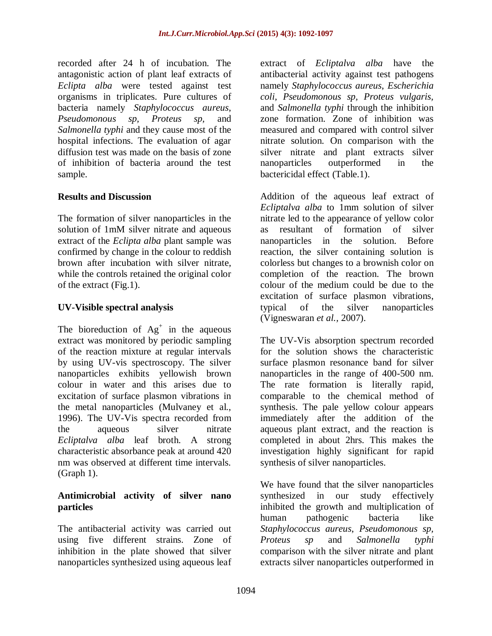recorded after 24 h of incubation. The antagonistic action of plant leaf extracts of *Eclipta alba* were tested against test organisms in triplicates. Pure cultures of bacteria namely *Staphylococcus aureus*, *Pseudomonous sp, Proteus sp,* and *Salmonella typhi* and they cause most of the hospital infections. The evaluation of agar diffusion test was made on the basis of zone of inhibition of bacteria around the test sample.

### **Results and Discussion**

The formation of silver nanoparticles in the solution of 1mM silver nitrate and aqueous extract of the *Eclipta alba* plant sample was confirmed by change in the colour to reddish brown after incubation with silver nitrate, while the controls retained the original color of the extract (Fig.1).

# **UV-Visible spectral analysis**

The bioreduction of  $Ag<sup>+</sup>$  in the aqueous extract was monitored by periodic sampling of the reaction mixture at regular intervals by using UV-vis spectroscopy. The silver nanoparticles exhibits yellowish brown colour in water and this arises due to excitation of surface plasmon vibrations in the metal nanoparticles (Mulvaney et al., 1996). The UV-Vis spectra recorded from the aqueous silver nitrate *Ecliptalva alba* leaf broth. A strong characteristic absorbance peak at around 420 nm was observed at different time intervals. (Graph 1).

### **Antimicrobial activity of silver nano particles**

The antibacterial activity was carried out using five different strains. Zone of inhibition in the plate showed that silver nanoparticles synthesized using aqueous leaf extract of *Ecliptalva alba* have the antibacterial activity against test pathogens namely *Staphylococcus aureus*, *Escherichia coli, Pseudomonous sp, Proteus vulgaris,*  and *Salmonella typhi* through the inhibition zone formation. Zone of inhibition was measured and compared with control silver nitrate solution. On comparison with the silver nitrate and plant extracts silver nanoparticles outperformed in the bactericidal effect (Table.1).

Addition of the aqueous leaf extract of *Ecliptalva alba* to 1mm solution of silver nitrate led to the appearance of yellow color as resultant of formation of silver nanoparticles in the solution. Before reaction, the silver containing solution is colorless but changes to a brownish color on completion of the reaction. The brown colour of the medium could be due to the excitation of surface plasmon vibrations, typical of the silver nanoparticles (Vigneswaran *et al.,* 2007).

The UV-Vis absorption spectrum recorded for the solution shows the characteristic surface plasmon resonance band for silver nanoparticles in the range of 400-500 nm. The rate formation is literally rapid, comparable to the chemical method of synthesis. The pale yellow colour appears immediately after the addition of the aqueous plant extract, and the reaction is completed in about 2hrs. This makes the investigation highly significant for rapid synthesis of silver nanoparticles.

We have found that the silver nanoparticles synthesized in our study effectively inhibited the growth and multiplication of human pathogenic bacteria like *Staphylococcus aureus*, *Pseudomonous sp, Proteus sp* and *Salmonella typhi* comparison with the silver nitrate and plant extracts silver nanoparticles outperformed in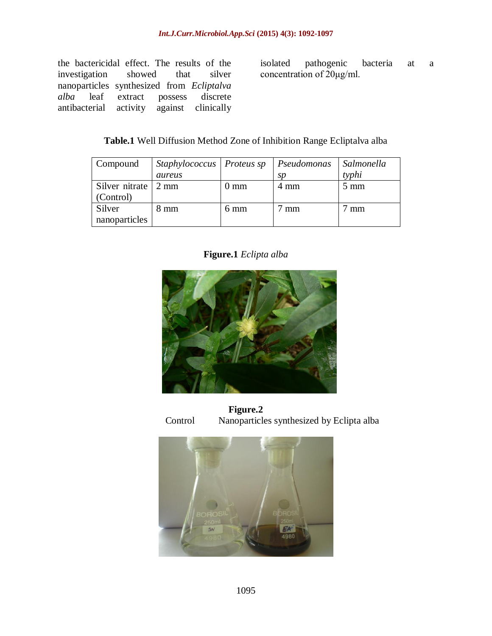the bactericidal effect. The results of the investigation showed that silver nanoparticles synthesized from *Ecliptalva alba* leaf extract possess discrete antibacterial activity against clinically

isolated pathogenic bacteria at a concentration of 20μg/ml.

### **Table.1** Well Diffusion Method Zone of Inhibition Range Ecliptalva alba

| Compound                        | Staphylococcus   Proteus sp |                | Pseudomonas | Salmonella |
|---------------------------------|-----------------------------|----------------|-------------|------------|
|                                 | aureus                      |                | sp          | typhi      |
| Silver nitrate $\frac{1}{2}$ mm |                             | $0 \text{ mm}$ | 4 mm        | 5 mm       |
| (Control)                       |                             |                |             |            |
| Silver                          | $8 \text{ mm}$              | 6 mm           | mm          | mm         |
| nanoparticles                   |                             |                |             |            |

**Figure.1** *Eclipta alba*



**Figure.2** Control Nanoparticles synthesized by Eclipta alba

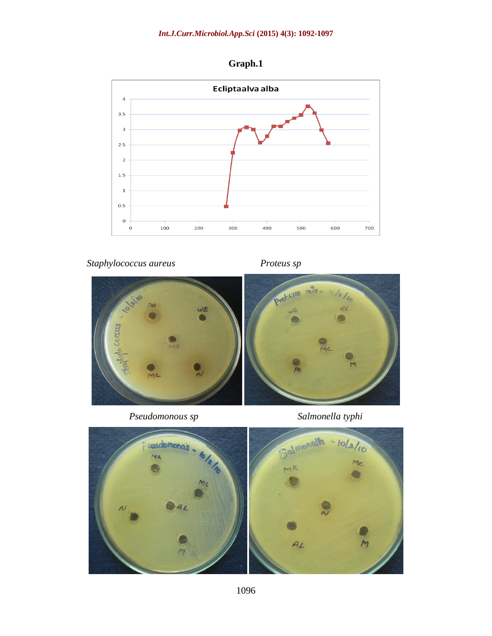



*Staphylococcus aureus Proteus sp*



*Pseudomonous sp Salmonella typhi*